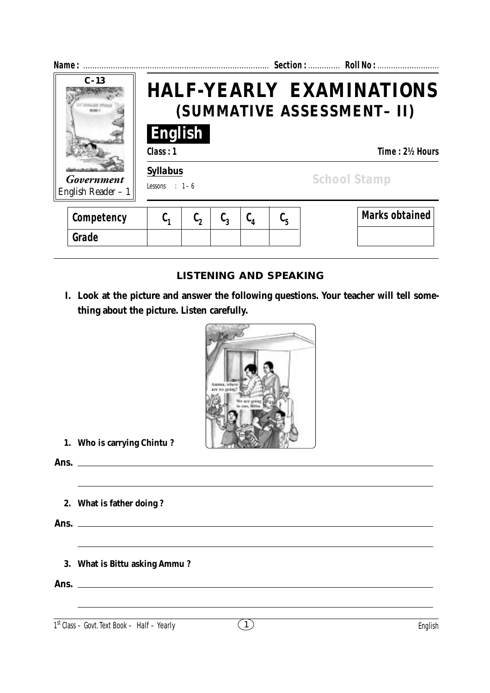| Name:                                      |                                                                  |                  |                  |         |         | Section:  Roll No:                    |  |
|--------------------------------------------|------------------------------------------------------------------|------------------|------------------|---------|---------|---------------------------------------|--|
| $C - 13$                                   | <b>HALF-YEARLY EXAMINATIONS</b><br>(SUMMATIVE ASSESSMENT- II)    |                  |                  |         |         |                                       |  |
| Government                                 | <b>English</b><br>Class: 1<br><b>Syllabus</b><br>Lessons : $1-6$ |                  |                  |         |         | Time: 2½ Hours<br><b>School Stamp</b> |  |
| English Reader $-1$<br>Competency<br>Grade | $C_{1}$                                                          | $\mathfrak{c}_2$ | $\mathfrak{c}_3$ | $C_{4}$ | $C_{5}$ | <b>Marks obtained</b>                 |  |

# **LISTENING AND SPEAKING**

**I. Look at the picture and answer the following questions. Your teacher will tell something about the picture. Listen carefully.**



**1. Who is carrying Chintu ?**

**Ans.**

**2. What is father doing ?**

**Ans.**

**3. What is Bittu asking Ammu ?**

**Ans.**

1<sup>st</sup> Class – Govt. Text Book – Half – Yearly (1)

<u> 1989 - Johann Stoff, deutscher Stoffen und der Stoffen und der Stoffen und der Stoffen und der Stoffen und der</u>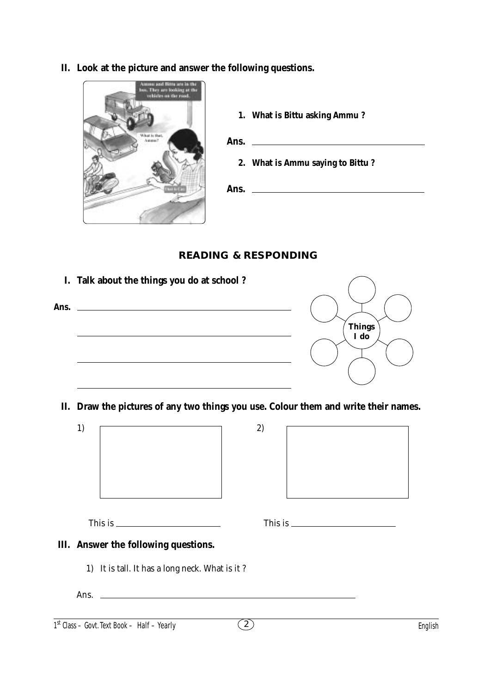**II. Look at the picture and answer the following questions.**



**1. What is Bittu asking Ammu ?**

**Ans. 2. What is Ammu saying to Bittu ?**

**Ans.**

## **READING & RESPONDING**



**II. Draw the pictures of any two things you use. Colour them and write their names.**

| 1) |                                                | 2)             |                                                                                                                                                                                                                                                                                                   |         |
|----|------------------------------------------------|----------------|---------------------------------------------------------------------------------------------------------------------------------------------------------------------------------------------------------------------------------------------------------------------------------------------------|---------|
|    |                                                |                |                                                                                                                                                                                                                                                                                                   |         |
|    |                                                |                |                                                                                                                                                                                                                                                                                                   |         |
|    |                                                |                |                                                                                                                                                                                                                                                                                                   |         |
|    |                                                |                |                                                                                                                                                                                                                                                                                                   |         |
|    |                                                |                |                                                                                                                                                                                                                                                                                                   |         |
|    |                                                |                |                                                                                                                                                                                                                                                                                                   |         |
|    |                                                |                |                                                                                                                                                                                                                                                                                                   |         |
|    | This is $\frac{1}{2}$                          |                | This is $\frac{1}{2}$ is $\frac{1}{2}$ is $\frac{1}{2}$ is $\frac{1}{2}$ is $\frac{1}{2}$ is $\frac{1}{2}$ is $\frac{1}{2}$ is $\frac{1}{2}$ is $\frac{1}{2}$ is $\frac{1}{2}$ is $\frac{1}{2}$ is $\frac{1}{2}$ is $\frac{1}{2}$ is $\frac{1}{2}$ is $\frac{1}{2}$ is $\frac{1}{2}$ is $\frac{1$ |         |
|    | III. Answer the following questions.           |                |                                                                                                                                                                                                                                                                                                   |         |
|    | 1) It is tall. It has a long neck. What is it? |                |                                                                                                                                                                                                                                                                                                   |         |
|    |                                                |                |                                                                                                                                                                                                                                                                                                   |         |
|    | $1st$ Class – Govt. Text Book – Half – Yearly  | $\overline{2}$ |                                                                                                                                                                                                                                                                                                   | English |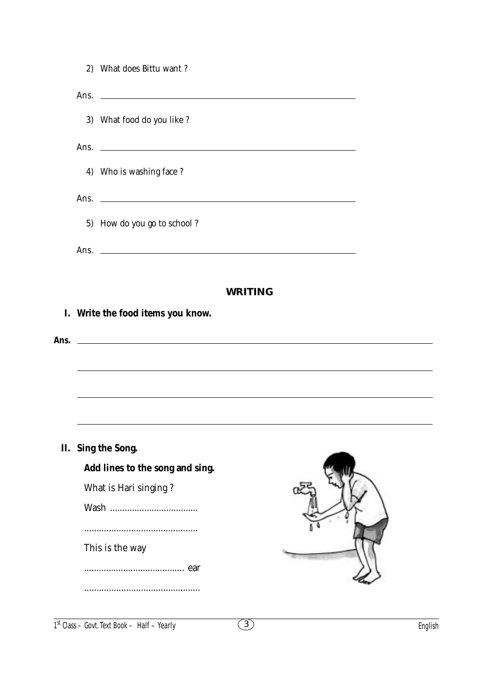| 3) What food do you like ?<br>Ans. $\qquad \qquad$<br>4) Who is washing face?<br>5) How do you go to school?<br>Ans. $\qquad \qquad$<br><b>WRITING</b><br>Write the food items you know.<br>I.<br>Ans.<br><u> 1989 - Johann Stoff, deutscher Stoffen und der Stoffen und der Stoffen und der Stoffen und der Stoffen und der Stoffen und der Stoffen und der Stoffen und der Stoffen und der Stoffen und der Stoffen und der Stoffen und d</u><br>II. Sing the Song.<br>Add lines to the song and sing.<br>What is Hari singing?<br><br>This is the way<br>ear | 2) What does Bittu want? |  |
|----------------------------------------------------------------------------------------------------------------------------------------------------------------------------------------------------------------------------------------------------------------------------------------------------------------------------------------------------------------------------------------------------------------------------------------------------------------------------------------------------------------------------------------------------------------|--------------------------|--|
|                                                                                                                                                                                                                                                                                                                                                                                                                                                                                                                                                                |                          |  |
|                                                                                                                                                                                                                                                                                                                                                                                                                                                                                                                                                                |                          |  |
|                                                                                                                                                                                                                                                                                                                                                                                                                                                                                                                                                                |                          |  |
|                                                                                                                                                                                                                                                                                                                                                                                                                                                                                                                                                                |                          |  |
|                                                                                                                                                                                                                                                                                                                                                                                                                                                                                                                                                                |                          |  |
|                                                                                                                                                                                                                                                                                                                                                                                                                                                                                                                                                                |                          |  |
|                                                                                                                                                                                                                                                                                                                                                                                                                                                                                                                                                                |                          |  |
|                                                                                                                                                                                                                                                                                                                                                                                                                                                                                                                                                                |                          |  |
|                                                                                                                                                                                                                                                                                                                                                                                                                                                                                                                                                                |                          |  |
|                                                                                                                                                                                                                                                                                                                                                                                                                                                                                                                                                                |                          |  |
|                                                                                                                                                                                                                                                                                                                                                                                                                                                                                                                                                                |                          |  |
|                                                                                                                                                                                                                                                                                                                                                                                                                                                                                                                                                                |                          |  |
|                                                                                                                                                                                                                                                                                                                                                                                                                                                                                                                                                                |                          |  |
|                                                                                                                                                                                                                                                                                                                                                                                                                                                                                                                                                                |                          |  |
|                                                                                                                                                                                                                                                                                                                                                                                                                                                                                                                                                                |                          |  |
|                                                                                                                                                                                                                                                                                                                                                                                                                                                                                                                                                                |                          |  |
|                                                                                                                                                                                                                                                                                                                                                                                                                                                                                                                                                                |                          |  |
|                                                                                                                                                                                                                                                                                                                                                                                                                                                                                                                                                                |                          |  |
|                                                                                                                                                                                                                                                                                                                                                                                                                                                                                                                                                                |                          |  |
|                                                                                                                                                                                                                                                                                                                                                                                                                                                                                                                                                                |                          |  |
|                                                                                                                                                                                                                                                                                                                                                                                                                                                                                                                                                                |                          |  |
|                                                                                                                                                                                                                                                                                                                                                                                                                                                                                                                                                                |                          |  |